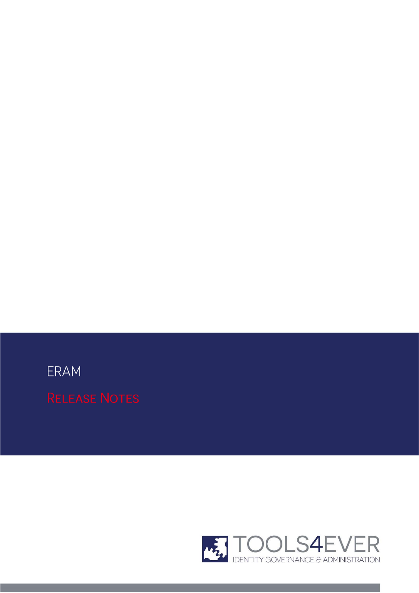ERAM

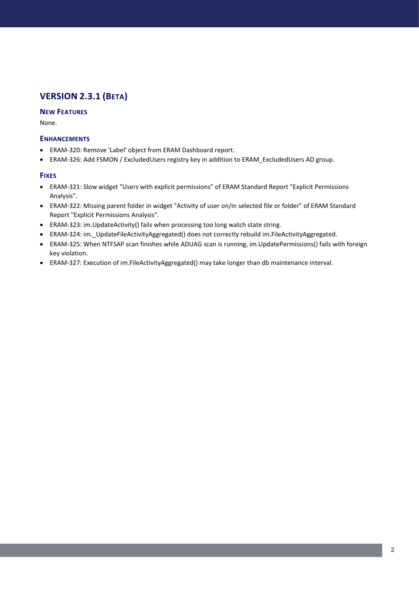## **VERSION 2.3.1 (BETA)**

## **NEW FEATURES**

None.

## **ENHANCEMENTS**

- ERAM-320: Remove 'Label' object from ERAM Dashboard report.
- ERAM-326: Add FSMON / ExcludedUsers registry key in addition to ERAM\_ExcludedUsers AD group.

- ERAM-321: Slow widget "Users with explicit permissions" of ERAM Standard Report "Explicit Permissions Analysis".
- ERAM-322: Missing parent folder in widget "Activity of user on/in selected file or folder" of ERAM Standard Report "Explicit Permissions Analysis".
- ERAM-323: im.UpdateActivity() fails when processing too long watch state string.
- ERAM-324: im.\_UpdateFileActivityAggregated() does not correctly rebuild im.FileActivityAggregated.
- ERAM-325: When NTFSAP scan finishes while ADUAG scan is running, im.UpdatePermissions() fails with foreign key violation.
- ERAM-327: Execution of im.FileActivityAggregated() may take longer than db maintenance interval.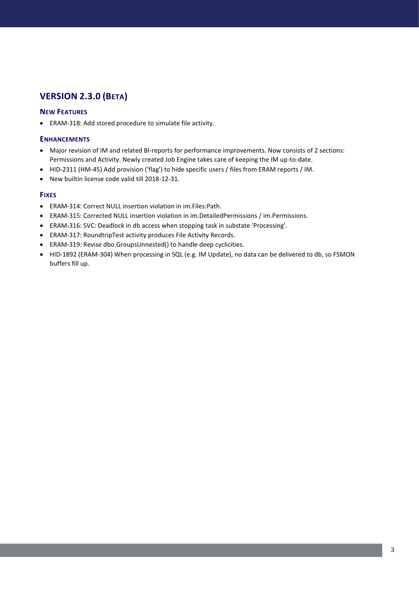## **VERSION 2.3.0 (BETA)**

### **NEW FEATURES**

ERAM-318: Add stored procedure to simulate file activity.

#### **ENHANCEMENTS**

- Major revision of IM and related BI-reports for performance improvements. Now consists of 2 sections: Permissions and Activity. Newly created Job Engine takes care of keeping the IM up-to-date.
- HID-2311 (HM-45) Add provision ('flag') to hide specific users / files from ERAM reports / IM.
- New builtin license code valid till 2018-12-31.

- ERAM-314: Correct NULL insertion violation in im.Files:Path.
- ERAM-315: Corrected NULL insertion violation in im.DetailedPermissions / im.Permissions.
- ERAM-316: SVC: Deadlock in db access when stopping task in substate 'Processing'.
- ERAM-317: RoundtripTest activity produces File Activity Records.
- ERAM-319: Revise dbo.GroupsUnnested() to handle deep cyclicities.
- HID-1892 (ERAM-304) When processing in SQL (e.g. IM Update), no data can be delivered to db, so FSMON buffers fill up.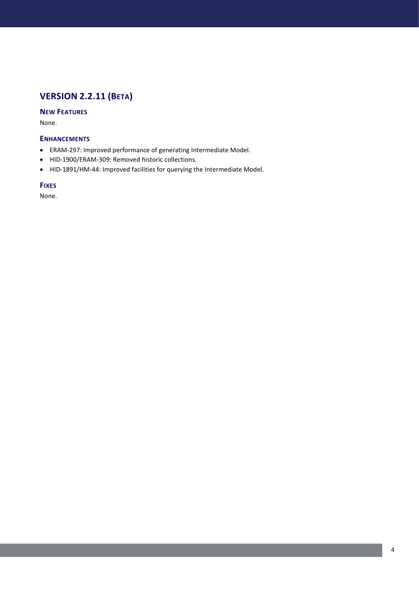# **VERSION 2.2.11 (BETA)**

## **NEW FEATURES**

None.

## **ENHANCEMENTS**

- ERAM-297: Improved performance of generating Intermediate Model.
- HID-1900/ERAM-309: Removed historic collections.
- HID-1891/HM-44: Improved facilities for querying the Intermediate Model.

## **FIXES**

None.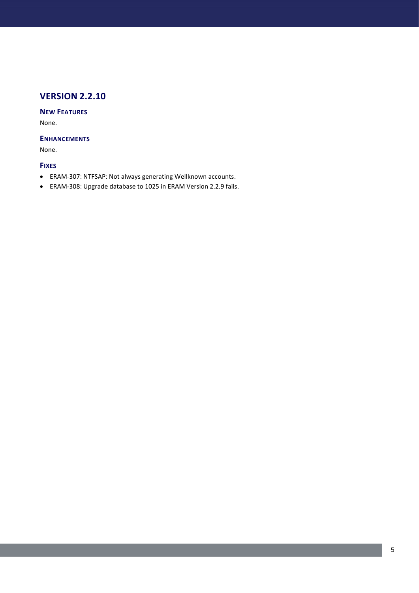## **NEW FEATURES**

None.

### **ENHANCEMENTS**

None.

- ERAM-307: NTFSAP: Not always generating Wellknown accounts.
- ERAM-308: Upgrade database to 1025 in ERAM Version 2.2.9 fails.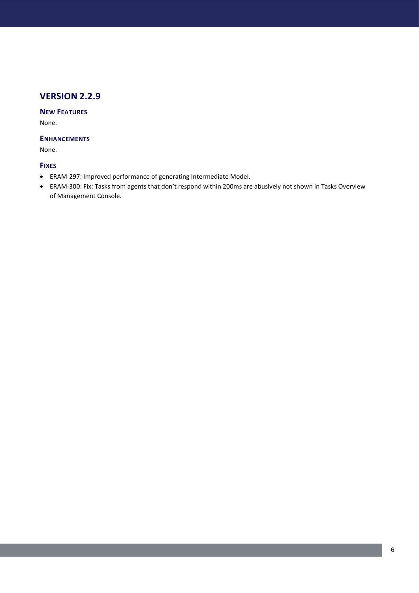## **NEW FEATURES**

None.

## **ENHANCEMENTS**

None.

- ERAM-297: Improved performance of generating Intermediate Model.
- ERAM-300: Fix: Tasks from agents that don't respond within 200ms are abusively not shown in Tasks Overview of Management Console.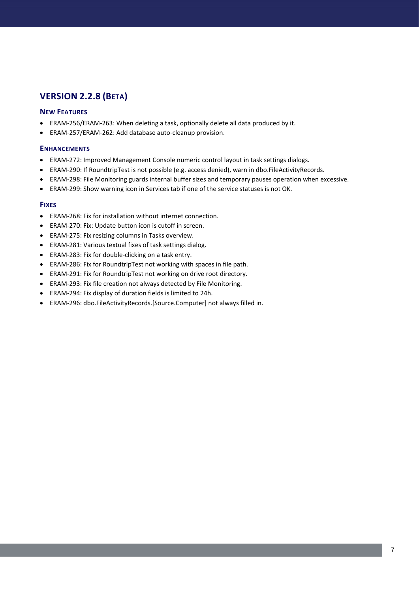## **VERSION 2.2.8 (BETA)**

#### **NEW FEATURES**

- ERAM-256/ERAM-263: When deleting a task, optionally delete all data produced by it.
- ERAM-257/ERAM-262: Add database auto-cleanup provision.

#### **ENHANCEMENTS**

- ERAM-272: Improved Management Console numeric control layout in task settings dialogs.
- ERAM-290: If RoundtripTest is not possible (e.g. access denied), warn in dbo.FileActivityRecords.
- ERAM-298: File Monitoring guards internal buffer sizes and temporary pauses operation when excessive.
- ERAM-299: Show warning icon in Services tab if one of the service statuses is not OK.

- ERAM-268: Fix for installation without internet connection.
- ERAM-270: Fix: Update button icon is cutoff in screen.
- ERAM-275: Fix resizing columns in Tasks overview.
- ERAM-281: Various textual fixes of task settings dialog.
- ERAM-283: Fix for double-clicking on a task entry.
- ERAM-286: Fix for RoundtripTest not working with spaces in file path.
- ERAM-291: Fix for RoundtripTest not working on drive root directory.
- ERAM-293: Fix file creation not always detected by File Monitoring.
- ERAM-294: Fix display of duration fields is limited to 24h.
- ERAM-296: dbo.FileActivityRecords.[Source.Computer] not always filled in.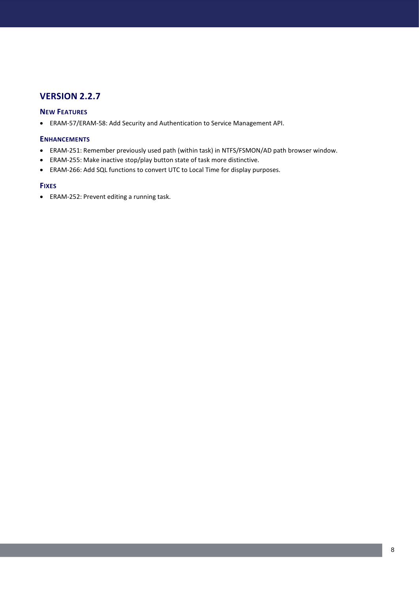## **NEW FEATURES**

ERAM-57/ERAM-58: Add Security and Authentication to Service Management API.

### **ENHANCEMENTS**

- ERAM-251: Remember previously used path (within task) in NTFS/FSMON/AD path browser window.
- ERAM-255: Make inactive stop/play button state of task more distinctive.
- ERAM-266: Add SQL functions to convert UTC to Local Time for display purposes.

#### **FIXES**

ERAM-252: Prevent editing a running task.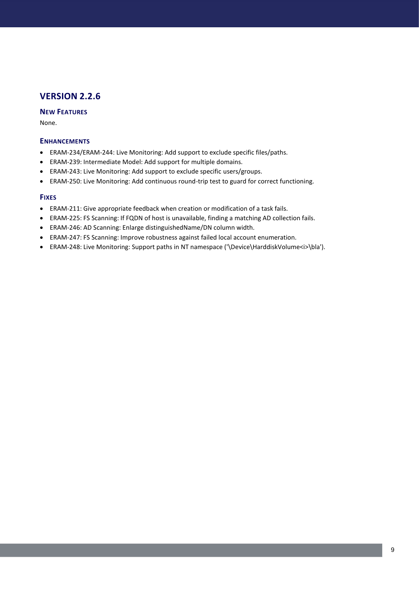## **NEW FEATURES**

None.

### **ENHANCEMENTS**

- ERAM-234/ERAM-244: Live Monitoring: Add support to exclude specific files/paths.
- ERAM-239: Intermediate Model: Add support for multiple domains.
- ERAM-243: Live Monitoring: Add support to exclude specific users/groups.
- ERAM-250: Live Monitoring: Add continuous round-trip test to guard for correct functioning.

- ERAM-211: Give appropriate feedback when creation or modification of a task fails.
- ERAM-225: FS Scanning: If FQDN of host is unavailable, finding a matching AD collection fails.
- ERAM-246: AD Scanning: Enlarge distinguishedName/DN column width.
- ERAM-247: FS Scanning: Improve robustness against failed local account enumeration.
- ERAM-248: Live Monitoring: Support paths in NT namespace ('\Device\HarddiskVolume<i>\bla').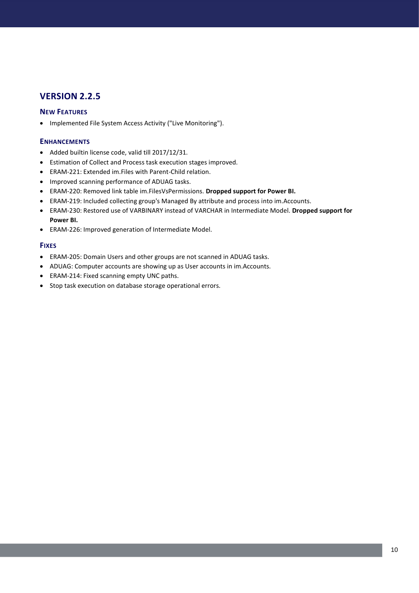## **NEW FEATURES**

• Implemented File System Access Activity ("Live Monitoring").

## **ENHANCEMENTS**

- Added builtin license code, valid till 2017/12/31.
- Estimation of Collect and Process task execution stages improved.
- ERAM-221: Extended im.Files with Parent-Child relation.
- Improved scanning performance of ADUAG tasks.
- ERAM-220: Removed link table im.FilesVsPermissions. **Dropped support for Power BI.**
- ERAM-219: Included collecting group's Managed By attribute and process into im.Accounts.
- ERAM-230: Restored use of VARBINARY instead of VARCHAR in Intermediate Model. **Dropped support for Power BI.**
- ERAM-226: Improved generation of Intermediate Model.

- ERAM-205: Domain Users and other groups are not scanned in ADUAG tasks.
- ADUAG: Computer accounts are showing up as User accounts in im.Accounts.
- ERAM-214: Fixed scanning empty UNC paths.
- Stop task execution on database storage operational errors.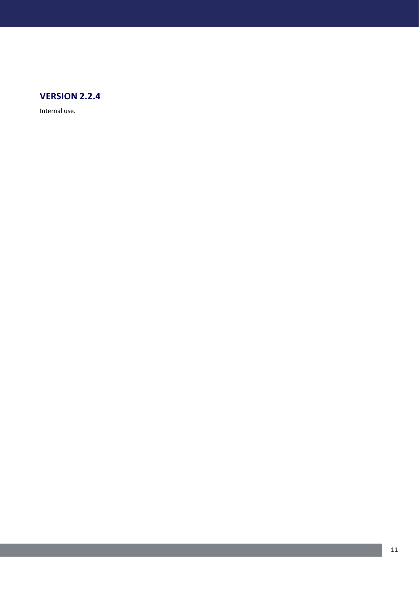

Internal use.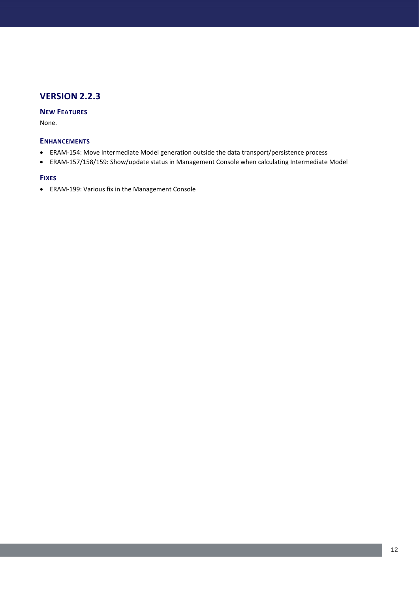## **NEW FEATURES**

None.

### **ENHANCEMENTS**

- ERAM-154: Move Intermediate Model generation outside the data transport/persistence process
- ERAM-157/158/159: Show/update status in Management Console when calculating Intermediate Model

#### **FIXES**

ERAM-199: Various fix in the Management Console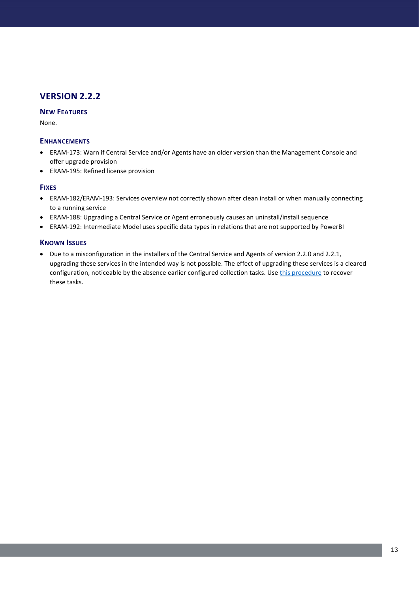## **NEW FEATURES**

None.

### **ENHANCEMENTS**

- ERAM-173: Warn if Central Service and/or Agents have an older version than the Management Console and offer upgrade provision
- ERAM-195: Refined license provision

#### **FIXES**

- ERAM-182/ERAM-193: Services overview not correctly shown after clean install or when manually connecting to a running service
- ERAM-188: Upgrading a Central Service or Agent erroneously causes an uninstall/install sequence
- ERAM-192: Intermediate Model uses specific data types in relations that are not supported by PowerBI

## **KNOWN ISSUES**

 Due to a misconfiguration in the installers of the Central Service and Agents of version 2.2.0 and 2.2.1, upgrading these services in the intended way is not possible. The effect of upgrading these services is a cleared configuration, noticeable by the absence earlier configured collection tasks. Use [this procedure](https://download.tools4ever.com/files/eram/ERAM-188-Task-recovery.pdf) to recover these tasks.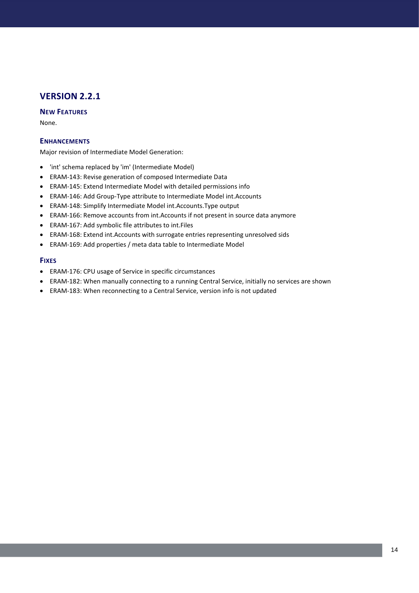## **NEW FEATURES**

None.

### **ENHANCEMENTS**

Major revision of Intermediate Model Generation:

- 'int' schema replaced by 'im' (Intermediate Model)
- ERAM-143: Revise generation of composed Intermediate Data
- ERAM-145: Extend Intermediate Model with detailed permissions info
- ERAM-146: Add Group-Type attribute to Intermediate Model int.Accounts
- ERAM-148: Simplify Intermediate Model int.Accounts.Type output
- ERAM-166: Remove accounts from int.Accounts if not present in source data anymore
- ERAM-167: Add symbolic file attributes to int.Files
- ERAM-168: Extend int.Accounts with surrogate entries representing unresolved sids
- ERAM-169: Add properties / meta data table to Intermediate Model

- ERAM-176: CPU usage of Service in specific circumstances
- ERAM-182: When manually connecting to a running Central Service, initially no services are shown
- ERAM-183: When reconnecting to a Central Service, version info is not updated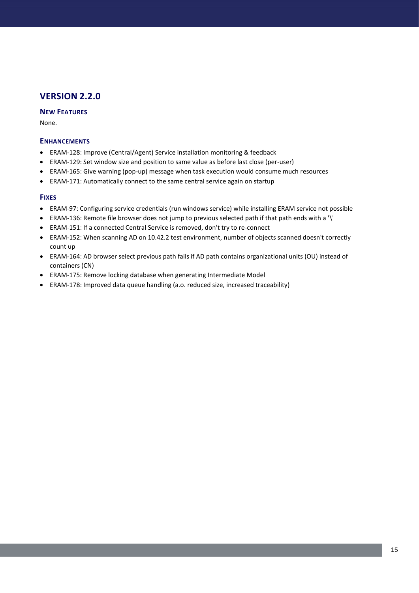## **NEW FEATURES**

None.

### **ENHANCEMENTS**

- ERAM-128: Improve (Central/Agent) Service installation monitoring & feedback
- ERAM-129: Set window size and position to same value as before last close (per-user)
- ERAM-165: Give warning (pop-up) message when task execution would consume much resources
- ERAM-171: Automatically connect to the same central service again on startup

- ERAM-97: Configuring service credentials (run windows service) while installing ERAM service not possible
- ERAM-136: Remote file browser does not jump to previous selected path if that path ends with a '\'
- ERAM-151: If a connected Central Service is removed, don't try to re-connect
- ERAM-152: When scanning AD on 10.42.2 test environment, number of objects scanned doesn't correctly count up
- ERAM-164: AD browser select previous path fails if AD path contains organizational units (OU) instead of containers (CN)
- ERAM-175: Remove locking database when generating Intermediate Model
- ERAM-178: Improved data queue handling (a.o. reduced size, increased traceability)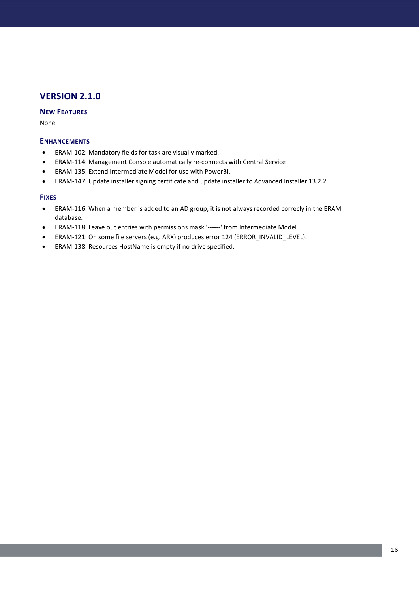## **NEW FEATURES**

None.

### **ENHANCEMENTS**

- ERAM-102: Mandatory fields for task are visually marked.
- ERAM-114: Management Console automatically re-connects with Central Service
- ERAM-135: Extend Intermediate Model for use with PowerBI.
- ERAM-147: Update installer signing certificate and update installer to Advanced Installer 13.2.2.

- ERAM-116: When a member is added to an AD group, it is not always recorded correcly in the ERAM database.
- ERAM-118: Leave out entries with permissions mask '------' from Intermediate Model.
- ERAM-121: On some file servers (e.g. ARX) produces error 124 (ERROR\_INVALID\_LEVEL).
- ERAM-138: Resources HostName is empty if no drive specified.